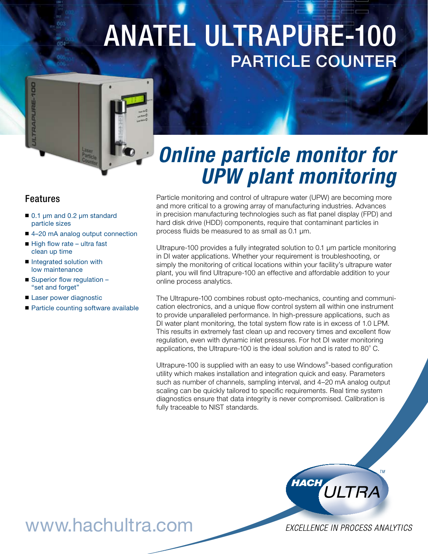# Anatel Ultrapure-100 Particle Counter



## *Online particle monitor for UPW plant monitoring*

#### Features

- 0.1 µm and 0.2 µm standard particle sizes
- 4-20 mA analog output connection
- High flow rate ultra fast clean up time
- Integrated solution with low maintenance
- Superior flow regulation "set and forget"
- Laser power diagnostic
- Particle counting software available

Particle monitoring and control of ultrapure water (UPW) are becoming more and more critical to a growing array of manufacturing industries. Advances in precision manufacturing technologies such as flat panel display (FPD) and hard disk drive (HDD) components, require that contaminant particles in process fluids be measured to as small as 0.1 µm.

Ultrapure-100 provides a fully integrated solution to 0.1 µm particle monitoring in DI water applications. Whether your requirement is troubleshooting, or simply the monitoring of critical locations within your facility's ultrapure water plant, you will find Ultrapure-100 an effective and affordable addition to your online process analytics.

The Ultrapure-100 combines robust opto-mechanics, counting and communication electronics, and a unique flow control system all within one instrument to provide unparalleled performance. In high-pressure applications, such as DI water plant monitoring, the total system flow rate is in excess of 1.0 LPM. This results in extremely fast clean up and recovery times and excellent flow regulation, even with dynamic inlet pressures. For hot DI water monitoring applications, the Ultrapure-100 is the ideal solution and is rated to  $80^{\circ}$  C.

Ultrapure-100 is supplied with an easy to use Windows® -based configuration utility which makes installation and integration quick and easy. Parameters such as number of channels, sampling interval, and 4–20 mA analog output scaling can be quickly tailored to specific requirements. Real time system diagnostics ensure that data integrity is never compromised. Calibration is fully traceable to NIST standards.



www.hachultra.com

EXCELLENCE IN PROCESS ANALYTICS